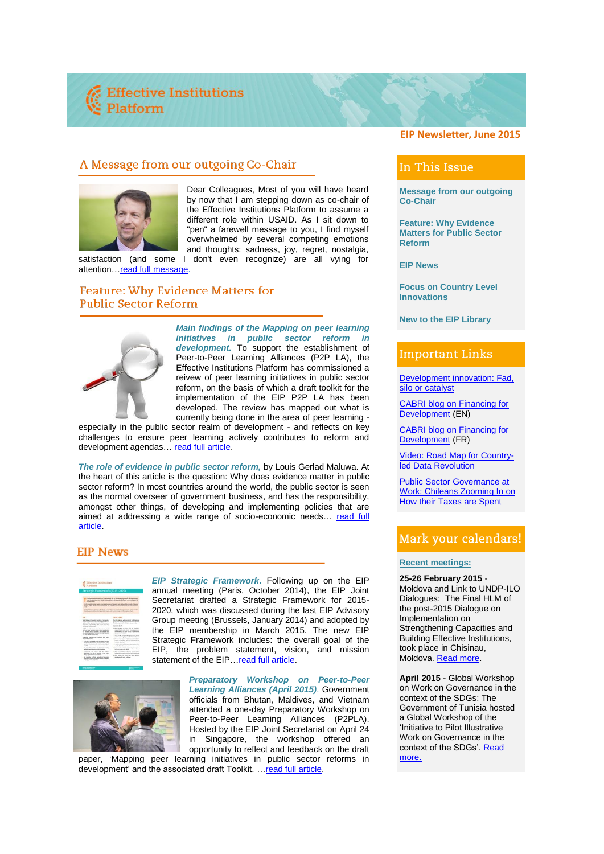# A Message from our outgoing Co-Chair



Dear Colleagues, Most of you will have heard by now that I am stepping down as co-chair of the Effective Institutions Platform to assume a different role within USAID. As I sit down to "pen" a farewell message to you, I find myself overwhelmed by several competing emotions and thoughts: sadness, joy, regret, nostalgia,

satisfaction (and some I don't even recognize) are all vying for attention... read full message.

## Feature: Why Evidence Matters for **Public Sector Reform**



*Main findings of the Mapping on peer learning initiatives in public sector reform in development.* To support the establishment of Peer-to-Peer Learning Alliances (P2P LA), the Effective Institutions Platform has commissioned a reivew of peer learning initiatives in public sector reform, on the basis of which a draft toolkit for the implementation of the EIP P2P LA has been developed. The review has mapped out what is currently being done in the area of peer learning -

especially in the public sector realm of development - and reflects on key challenges to ensure peer learning actively contributes to reform and development agendas… [read full article.](http://www.effectiveinstitutions.org/newsevents/Article%20on%20Main%20findings%20of%20the%20mapping.pdf)

*The role of evidence in public sector reform,* by Louis Gerlad Maluwa. At the heart of this article is the question: Why does evidence matter in public sector reform? In most countries around the world, the public sector is seen as the normal overseer of government business, and has the responsibility, amongst other things, of developing and implementing policies that are aimed at addressing a wide range of socio-economic needs… [read full](http://www.effectiveinstitutions.org/newsevents/Article%20on%20The%20role%20of%20evidence%20in%20public%20sector%20reform.pdf)  [article.](http://www.effectiveinstitutions.org/newsevents/Article%20on%20The%20role%20of%20evidence%20in%20public%20sector%20reform.pdf)

# **EIP News**

|                                                                                                                                                                                                                                                                                                                                                                                                                                                                                                                                                                                                                                        | Platform                                                                                                                                                                              |  |
|----------------------------------------------------------------------------------------------------------------------------------------------------------------------------------------------------------------------------------------------------------------------------------------------------------------------------------------------------------------------------------------------------------------------------------------------------------------------------------------------------------------------------------------------------------------------------------------------------------------------------------------|---------------------------------------------------------------------------------------------------------------------------------------------------------------------------------------|--|
| strategic Framework (2015-2020)                                                                                                                                                                                                                                                                                                                                                                                                                                                                                                                                                                                                        |                                                                                                                                                                                       |  |
|                                                                                                                                                                                                                                                                                                                                                                                                                                                                                                                                                                                                                                        |                                                                                                                                                                                       |  |
| a fille-for business finitest 200 is at allows at our 10 conduct and concerning that council position<br>ad ad collectivened with follows entered and in and send of notice with industrial via<br><b><i>ISSUED STOP</i></b><br>The OP study is the model make the subset of the base and because yields and a subset of additional countries.<br>Wanter cities, shorts name wasanted, not calibrate mids women'ts words movies and except<br>The OF these this formula fooding a different man if a memoritan componenties during a record of the<br>which is a closing to be much to take a show from a collection on<br>of refuser. |                                                                                                                                                                                       |  |
| <b>STAL</b>                                                                                                                                                                                                                                                                                                                                                                                                                                                                                                                                                                                                                            | <b>INC OT A KIND</b>                                                                                                                                                                  |  |
| The AP turbane in the section transferred and such<br>Intake antiverspentisely with military he are<br>sented experiences and in white results<br>member of admits with scene for meth-<br>subsidiar and including prouds.                                                                                                                                                                                                                                                                                                                                                                                                             | The AT collection with a better of could chan-<br>smarted a broad morning with white show frame.<br>In a strip the form often of this is a tracket of when<br>In particular, this art |  |
| The UV cannot with conference that with intertiment and<br>you five your intruduct come sures successfully<br>ing company of local adjustment, and minimum that<br>and other executions or locally han that system<br>A CANAL MASA ANG ANG<br>in wholes installate the UP wine in from mile-                                                                                                                                                                                                                                                                                                                                           | 1 Milar Name is there and in members<br>products and control below and whose company<br>beliefships for out next mountains.<br><b>Noted of continue lands</b>                         |  |
|                                                                                                                                                                                                                                                                                                                                                                                                                                                                                                                                                                                                                                        | 1. Who finish brooks workers in the series.<br>pain for healthy different of frank lenda fishers."                                                                                    |  |
|                                                                                                                                                                                                                                                                                                                                                                                                                                                                                                                                                                                                                                        | 1. Produkt a sight paper to return and more for the con-<br>In made up the refuser affords and communication that                                                                     |  |
| as he tommer for                                                                                                                                                                                                                                                                                                                                                                                                                                                                                                                                                                                                                       |                                                                                                                                                                                       |  |
| $-$ Definish is submate globb declined macher<br>in mostly hat shownly as and research mode                                                                                                                                                                                                                                                                                                                                                                                                                                                                                                                                            | <b>SALES ALASKANSKY</b>                                                                                                                                                               |  |
| ache amalie da scientite per destruyent glati-                                                                                                                                                                                                                                                                                                                                                                                                                                                                                                                                                                                         | 1. Produkt selektra mid attracke subartrachest in the<br>are it rails will win-                                                                                                       |  |
| with first will interest with model continues                                                                                                                                                                                                                                                                                                                                                                                                                                                                                                                                                                                          | 1. Langua miliatan kalimita, makas lumpat ad<br>because areas with show.                                                                                                              |  |
| . <b>Senate</b><br>- An according, Arizon and Streamed Scheller<br>a because let your set to mine<br>distributions that sales to unafricable in from profes-<br><b>Bldg. Industries automates</b>                                                                                                                                                                                                                                                                                                                                                                                                                                      | 1. Who does bendere darkini belawa hit at<br>telligen in any twen that works a true whetheves.                                                                                        |  |

*[EIP Strategic Framework](http://www.effectiveinstitutions.org/newsevents/EIP%20Mexico%20Country%20Systems.pdf)***.** Following up on the EIP annual meeting (Paris, October 2014), the EIP Joint Secretariat drafted a Strategic Framework for 2015- 2020, which was discussed during the last EIP Advisory Group meeting (Brussels, January 2014) and adopted by the EIP membership in March 2015. The new EIP Strategic Framework includes: the overall goal of the EIP, the problem statement, vision, and mission statement of the EIP[…read full article.](http://www.effectiveinstitutions.org/newsevents/Article%20on%20EIP%20Strategic%20Framework.pdf)



*Preparatory Workshop on Peer-to-Peer Learning Alliances (April 2015)*. Government officials from Bhutan, Maldives, and Vietnam attended a one-day Preparatory Workshop on Peer-to-Peer Learning Alliances (P2PLA). Hosted by the EIP Joint Secretariat on April 24 in Singapore, the workshop offered an opportunity to reflect and feedback on the draft

paper, ['Mapping peer learning initiatives in public sector reforms in](http://www.effectiveinstitutions.org/documentupload/Draft%20Revised%20mapping.pdf)  [development'](http://www.effectiveinstitutions.org/documentupload/Draft%20Revised%20mapping.pdf) and the associated draft Toolkit. […read full article.](http://www.effectiveinstitutions.org/newsevents/Article%20on%20P2P%20LA%20Meeting%20in%20Singapore.pdf)

### **EIP Newsletter, June 2015**

## In This Issue

**Message from our outgoing Co-Chair**

**Feature: Why Evidence Matters for Public Sector Reform**

**EIP News**

**Focus on Country Level Innovations**

**New to the EIP Library**

## **Important Links**

Development innovation: Fad, [silo or catalyst](http://diytoolkit.org/blog/notes/development-innovation-fad-silo-or-catalyst/)

[CABRI blog on Financing for](http://www.cabri-sbo.org/resources/blog/1092-the-role-of-oda-in-financing-the-future)  [Development](http://www.cabri-sbo.org/resources/blog/1092-the-role-of-oda-in-financing-the-future) (EN)

[CABRI blog on Financing for](http://www.cabri-sbo.org/fr/ressources/blog/1093-le-role-de-l-apd-dans-le-financement-de-l-avenir)  [Development](http://www.cabri-sbo.org/fr/ressources/blog/1093-le-role-de-l-apd-dans-le-financement-de-l-avenir) (FR)

Video: Road [Map for Country](http://datarevolution.paris21.org/node/88)[led Data Revolution](http://datarevolution.paris21.org/node/88)

[Public Sector Governance at](http://www2.ifac.org/global-knowledge-gateway/governance/discussion/public-sector-governance-work-chileans-zooming-how-th)  [Work: Chileans Zooming In on](http://www2.ifac.org/global-knowledge-gateway/governance/discussion/public-sector-governance-work-chileans-zooming-how-th)  [How their Taxes are Spent](http://www2.ifac.org/global-knowledge-gateway/governance/discussion/public-sector-governance-work-chileans-zooming-how-th)

# Mark your calendars!

#### **Recent meetings:**

**25-26 February 2015** - Moldova and Link to UNDP-ILO Dialogues: The Final HLM of the post-2015 Dialogue on Implementation on Strengthening Capacities and Building Effective Institutions, took place in Chisinau, Moldova[. Read more.](https://www.worldwewant2015.org/capacities2015)

**April 2015** - Global Workshop on Work on Governance in the context of the SDGs: The Government of Tunisia hosted a Global Workshop of the 'Initiative to Pilot Illustrative Work on Governance in the context of the SDGs'. Read [more.](http://www.effectiveinstitutions.org/newsevents/Article%20on%20Global%20Workshop%20Tunis.pdf)